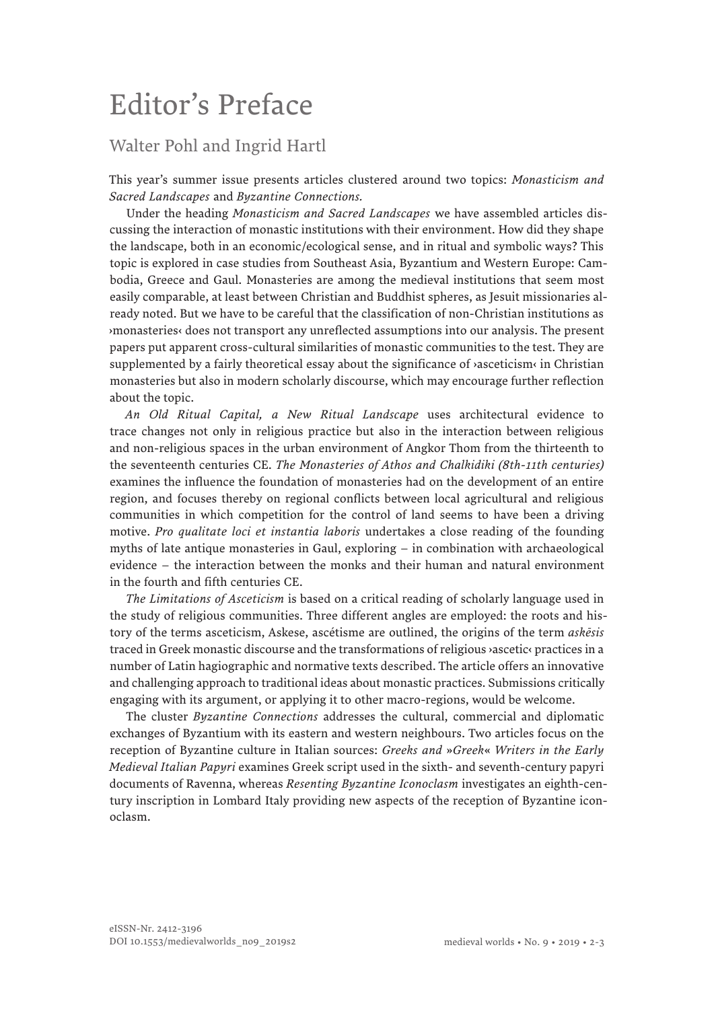## Editor's Preface

## Walter Pohl and Ingrid Hartl

This year's summer issue presents articles clustered around two topics: *Monasticism and Sacred Landscapes* and *Byzantine Connections.*

Under the heading *Monasticism and Sacred Landscapes* we have assembled articles discussing the interaction of monastic institutions with their environment. How did they shape the landscape, both in an economic/ecological sense, and in ritual and symbolic ways? This topic is explored in case studies from Southeast Asia, Byzantium and Western Europe: Cambodia, Greece and Gaul. Monasteries are among the medieval institutions that seem most easily comparable, at least between Christian and Buddhist spheres, as Jesuit missionaries already noted. But we have to be careful that the classification of non-Christian institutions as ›monasteries‹ does not transport any unreflected assumptions into our analysis. The present papers put apparent cross-cultural similarities of monastic communities to the test. They are supplemented by a fairly theoretical essay about the significance of *v*asceticism<sup>,</sup> in Christian monasteries but also in modern scholarly discourse, which may encourage further reflection about the topic.

*An Old Ritual Capital, a New Ritual Landscape* uses architectural evidence to trace changes not only in religious practice but also in the interaction between religious and non-religious spaces in the urban environment of Angkor Thom from the thirteenth to the seventeenth centuries CE. *The Monasteries of Athos and Chalkidiki (8th-11th centuries)* examines the influence the foundation of monasteries had on the development of an entire region, and focuses thereby on regional conflicts between local agricultural and religious communities in which competition for the control of land seems to have been a driving motive. *Pro qualitate loci et instantia laboris* undertakes a close reading of the founding myths of late antique monasteries in Gaul, exploring – in combination with archaeological evidence – the interaction between the monks and their human and natural environment in the fourth and fifth centuries CE.

*The Limitations of Asceticism* is based on a critical reading of scholarly language used in the study of religious communities. Three different angles are employed: the roots and history of the terms asceticism, Askese, ascétisme are outlined, the origins of the term *askēsis* traced in Greek monastic discourse and the transformations of religious ›ascetic‹ practices in a number of Latin hagiographic and normative texts described. The article offers an innovative and challenging approach to traditional ideas about monastic practices. Submissions critically engaging with its argument, or applying it to other macro-regions, would be welcome.

The cluster *Byzantine Connections* addresses the cultural, commercial and diplomatic exchanges of Byzantium with its eastern and western neighbours. Two articles focus on the reception of Byzantine culture in Italian sources: *Greeks and* »*Greek*« *Writers in the Early Medieval Italian Papyri* examines Greek script used in the sixth- and seventh-century papyri documents of Ravenna, whereas *Resenting Byzantine Iconoclasm* investigates an eighth-century inscription in Lombard Italy providing new aspects of the reception of Byzantine iconoclasm.